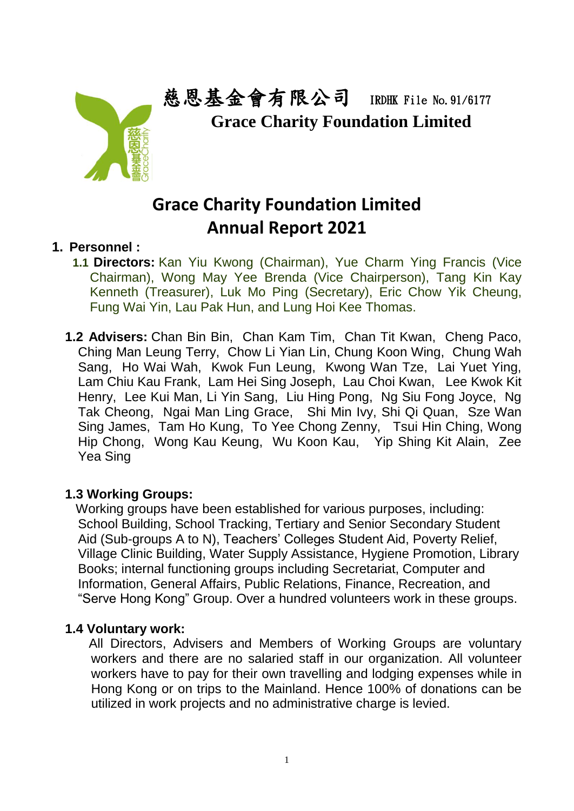

慈恩基金會有限公司 IRDHK File No.91/6177  **Grace Charity Foundation Limited**

# **Grace Charity Foundation Limited Annual Report 2021**

## **1. Personnel :**

- **1.1 Directors:** Kan Yiu Kwong (Chairman), Yue Charm Ying Francis (Vice Chairman), Wong May Yee Brenda (Vice Chairperson), Tang Kin Kay Kenneth (Treasurer), Luk Mo Ping (Secretary), Eric Chow Yik Cheung, Fung Wai Yin, Lau Pak Hun, and Lung Hoi Kee Thomas.
- **1.2 Advisers:** Chan Bin Bin, Chan Kam Tim, Chan Tit Kwan, Cheng Paco, Ching Man Leung Terry, Chow Li Yian Lin, Chung Koon Wing, Chung Wah Sang, Ho Wai Wah, Kwok Fun Leung, Kwong Wan Tze, Lai Yuet Ying, Lam Chiu Kau Frank, Lam Hei Sing Joseph, Lau Choi Kwan, Lee Kwok Kit Henry, Lee Kui Man, Li Yin Sang, Liu Hing Pong, Ng Siu Fong Joyce, Ng Tak Cheong, Ngai Man Ling Grace, Shi Min Ivy, Shi Qi Quan, Sze Wan Sing James, Tam Ho Kung, To Yee Chong Zenny, Tsui Hin Ching, Wong Hip Chong, Wong Kau Keung, Wu Koon Kau, Yip Shing Kit Alain, Zee Yea Sing

## **1.3 Working Groups:**

 Working groups have been established for various purposes, including: School Building, School Tracking, Tertiary and Senior Secondary Student Aid (Sub-groups A to N), Teachers' Colleges Student Aid, Poverty Relief, Village Clinic Building, Water Supply Assistance, Hygiene Promotion, Library Books; internal functioning groups including Secretariat, Computer and Information, General Affairs, Public Relations, Finance, Recreation, and "Serve Hong Kong" Group. Over a hundred volunteers work in these groups.

## **1.4 Voluntary work:**

 All Directors, Advisers and Members of Working Groups are voluntary workers and there are no salaried staff in our organization. All volunteer workers have to pay for their own travelling and lodging expenses while in Hong Kong or on trips to the Mainland. Hence 100% of donations can be utilized in work projects and no administrative charge is levied.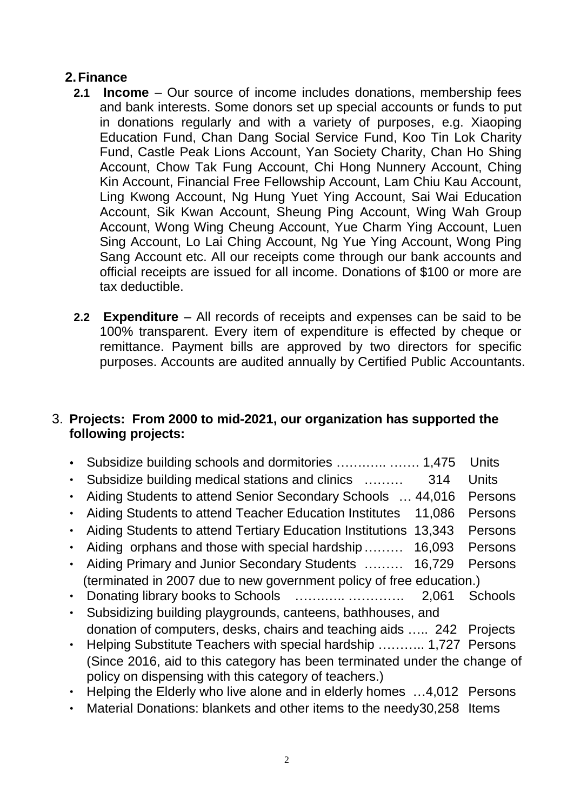## **2.Finance**

- **2.1 Income** Our source of income includes donations, membership fees and bank interests. Some donors set up special accounts or funds to put in donations regularly and with a variety of purposes, e.g. Xiaoping Education Fund, Chan Dang Social Service Fund, Koo Tin Lok Charity Fund, Castle Peak Lions Account, Yan Society Charity, Chan Ho Shing Account, Chow Tak Fung Account, Chi Hong Nunnery Account, Ching Kin Account, Financial Free Fellowship Account, Lam Chiu Kau Account, Ling Kwong Account, Ng Hung Yuet Ying Account, Sai Wai Education Account, Sik Kwan Account, Sheung Ping Account, Wing Wah Group Account, Wong Wing Cheung Account, Yue Charm Ying Account, Luen Sing Account, Lo Lai Ching Account, Ng Yue Ying Account, Wong Ping Sang Account etc. All our receipts come through our bank accounts and official receipts are issued for all income. Donations of \$100 or more are tax deductible.
- **2.2 Expenditure** All records of receipts and expenses can be said to be 100% transparent. Every item of expenditure is effected by cheque or remittance. Payment bills are approved by two directors for specific purposes. Accounts are audited annually by Certified Public Accountants.

## 3. **Projects: From 2000 to mid-2021, our organization has supported the following projects:**

|                                                                                                                                    | <b>Units</b> |  |
|------------------------------------------------------------------------------------------------------------------------------------|--------------|--|
| Subsidize building medical stations and clinics<br>314                                                                             | <b>Units</b> |  |
| Aiding Students to attend Senior Secondary Schools  44,016                                                                         | Persons      |  |
| Aiding Students to attend Teacher Education Institutes<br>11,086                                                                   | Persons      |  |
| Aiding Students to attend Tertiary Education Institutions<br>13,343                                                                | Persons      |  |
| Aiding orphans and those with special hardship<br>16,093                                                                           | Persons      |  |
| Aiding Primary and Junior Secondary Students<br>16,729                                                                             | Persons      |  |
| (terminated in 2007 due to new government policy of free education.)                                                               |              |  |
| 2,061                                                                                                                              | Schools      |  |
| Subsidizing building playgrounds, canteens, bathhouses, and                                                                        |              |  |
| donation of computers, desks, chairs and teaching aids  242 Projects                                                               |              |  |
| Helping Substitute Teachers with special hardship  1,727 Persons                                                                   |              |  |
| (Since 2016, aid to this category has been terminated under the change of<br>policy on dispensing with this category of teachers.) |              |  |
| Helping the Elderly who live alone and in elderly homes 4,012 Persons                                                              |              |  |
| Material Donations: blankets and other items to the needy30,258 Items                                                              |              |  |